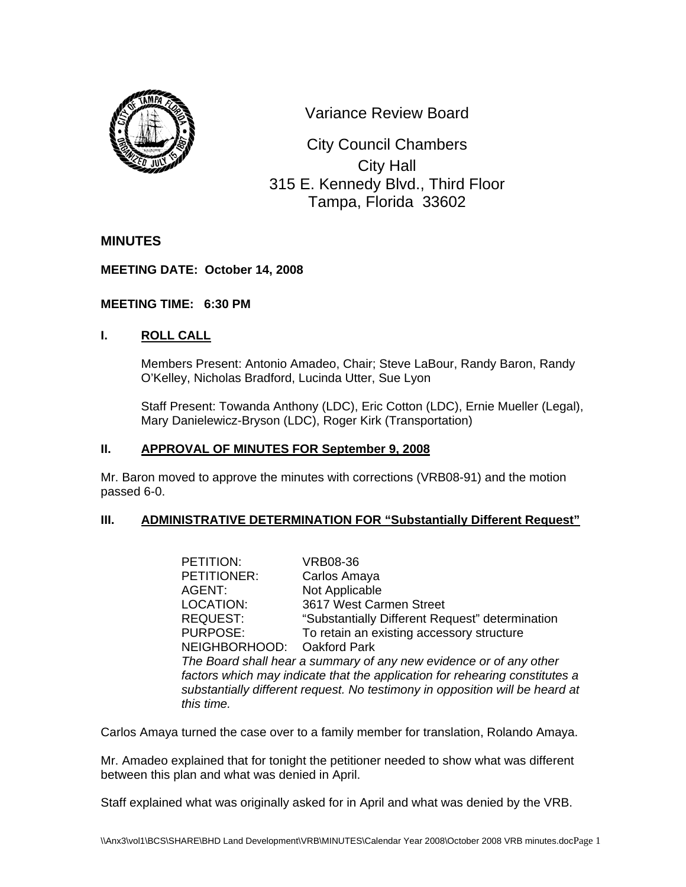

Variance Review Board

 0 315 E. Kennedy Blvd., Third Floor City Council Chambers City Hall Tampa, Florida 33602

# **MINUTES**

### **MEETING DATE: October 14, 2008**

### **MEETING TIME: 6:30 PM**

# **I. ROLL CALL**

Members Present: Antonio Amadeo, Chair; Steve LaBour, Randy Baron, Randy O'Kelley, Nicholas Bradford, Lucinda Utter, Sue Lyon

Staff Present: Towanda Anthony (LDC), Eric Cotton (LDC), Ernie Mueller (Legal), Mary Danielewicz-Bryson (LDC), Roger Kirk (Transportation)

### **II. APPROVAL OF MINUTES FOR September 9, 2008**

Mr. Baron moved to approve the minutes with corrections (VRB08-91) and the motion passed 6-0.

# **III.** ADMINISTRATIVE DETERMINATION FOR "Substantially Different Request"

| PETITION:                                                                    | <b>VRB08-36</b>                                 |  |
|------------------------------------------------------------------------------|-------------------------------------------------|--|
| PETITIONER:                                                                  | Carlos Amaya                                    |  |
| AGENT:                                                                       | Not Applicable                                  |  |
| LOCATION:                                                                    | 3617 West Carmen Street                         |  |
| <b>REQUEST:</b>                                                              | "Substantially Different Request" determination |  |
| <b>PURPOSE:</b>                                                              | To retain an existing accessory structure       |  |
| NEIGHBORHOOD: Oakford Park                                                   |                                                 |  |
| The Board shall hear a summary of any new evidence or of any other           |                                                 |  |
| factors which may indicate that the application for rehearing constitutes a  |                                                 |  |
| substantially different request. No testimony in opposition will be heard at |                                                 |  |
| this time.                                                                   |                                                 |  |

Carlos Amaya turned the case over to a family member for translation, Rolando Amaya.

Mr. Amadeo explained that for tonight the petitioner needed to show what was different between this plan and what was denied in April.

Staff explained what was originally asked for in April and what was denied by the VRB.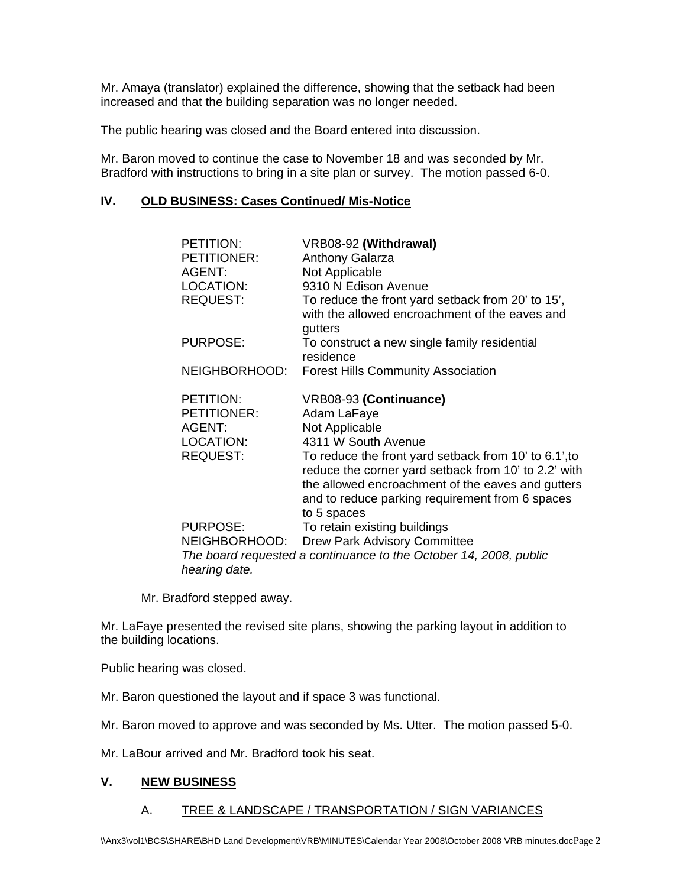Mr. Amaya (translator) explained the difference, showing that the setback had been increased and that the building separation was no longer needed.

The public hearing was closed and the Board entered into discussion.

Mr. Baron moved to continue the case to November 18 and was seconded by Mr. Bradford with instructions to bring in a site plan or survey. The motion passed 6-0.

### **IV. OLD BUSINESS: Cases Continued/ Mis-Notice**

| PETITION:          | VRB08-92 (Withdrawal)                                                                                                                                                                                                                |
|--------------------|--------------------------------------------------------------------------------------------------------------------------------------------------------------------------------------------------------------------------------------|
| <b>PETITIONER:</b> | <b>Anthony Galarza</b>                                                                                                                                                                                                               |
| AGENT:             | Not Applicable                                                                                                                                                                                                                       |
| LOCATION:          | 9310 N Edison Avenue                                                                                                                                                                                                                 |
| <b>REQUEST:</b>    | To reduce the front yard setback from 20' to 15',<br>with the allowed encroachment of the eaves and<br>gutters                                                                                                                       |
| <b>PURPOSE:</b>    | To construct a new single family residential<br>residence                                                                                                                                                                            |
| NEIGHBORHOOD:      | <b>Forest Hills Community Association</b>                                                                                                                                                                                            |
| PETITION:          | VRB08-93 (Continuance)                                                                                                                                                                                                               |
| <b>PETITIONER:</b> | Adam LaFaye                                                                                                                                                                                                                          |
| AGENT:             | Not Applicable                                                                                                                                                                                                                       |
| LOCATION:          | 4311 W South Avenue                                                                                                                                                                                                                  |
| <b>REQUEST:</b>    | To reduce the front yard setback from 10' to 6.1', to<br>reduce the corner yard setback from 10' to 2.2' with<br>the allowed encroachment of the eaves and gutters<br>and to reduce parking requirement from 6 spaces<br>to 5 spaces |
| <b>PURPOSE:</b>    | To retain existing buildings                                                                                                                                                                                                         |
| NEIGHBORHOOD:      | <b>Drew Park Advisory Committee</b>                                                                                                                                                                                                  |
| hearing date.      | The board requested a continuance to the October 14, 2008, public                                                                                                                                                                    |

Mr. Bradford stepped away.

Mr. LaFaye presented the revised site plans, showing the parking layout in addition to the building locations.

Public hearing was closed.

Mr. Baron questioned the layout and if space 3 was functional.

Mr. Baron moved to approve and was seconded by Ms. Utter. The motion passed 5-0.

Mr. LaBour arrived and Mr. Bradford took his seat.

#### **V. NEW BUSINESS**

#### A. TREE & LANDSCAPE / TRANSPORTATION / SIGN VARIANCES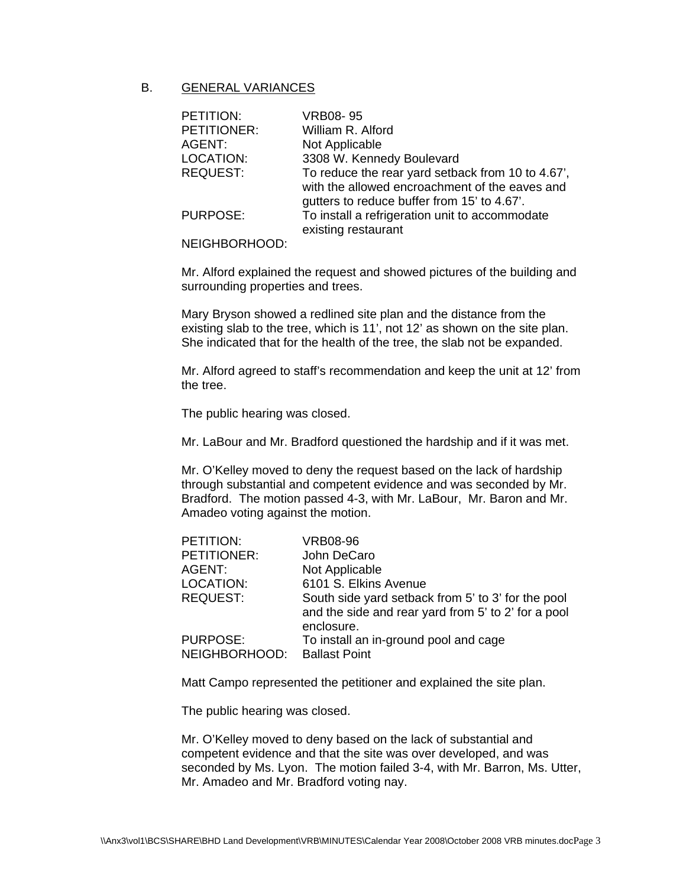### B. GENERAL VARIANCES

| PETITION:       | <b>VRB08-95</b>                                                                                     |
|-----------------|-----------------------------------------------------------------------------------------------------|
| PETITIONER:     | William R. Alford                                                                                   |
| AGENT:          | Not Applicable                                                                                      |
| LOCATION:       | 3308 W. Kennedy Boulevard                                                                           |
| <b>REQUEST:</b> | To reduce the rear yard setback from 10 to 4.67',<br>with the allowed encroachment of the eaves and |
|                 | gutters to reduce buffer from 15' to 4.67'.                                                         |
| <b>PURPOSE:</b> | To install a refrigeration unit to accommodate<br>existing restaurant                               |

#### NEIGHBORHOOD:

Mr. Alford explained the request and showed pictures of the building and surrounding properties and trees.

Mary Bryson showed a redlined site plan and the distance from the existing slab to the tree, which is 11', not 12' as shown on the site plan. She indicated that for the health of the tree, the slab not be expanded.

Mr. Alford agreed to staff's recommendation and keep the unit at 12' from the tree.

The public hearing was closed.

Mr. LaBour and Mr. Bradford questioned the hardship and if it was met.

Mr. O'Kelley moved to deny the request based on the lack of hardship through substantial and competent evidence and was seconded by Mr. Bradford. The motion passed 4-3, with Mr. LaBour, Mr. Baron and Mr. Amadeo voting against the motion.

| PETITION:       | <b>VRB08-96</b>                                     |
|-----------------|-----------------------------------------------------|
| PETITIONER:     | John DeCaro                                         |
| AGENT:          | Not Applicable                                      |
| LOCATION:       | 6101 S. Elkins Avenue                               |
| <b>REQUEST:</b> | South side yard setback from 5' to 3' for the pool  |
|                 | and the side and rear yard from 5' to 2' for a pool |
|                 | enclosure.                                          |
| <b>PURPOSE:</b> | To install an in-ground pool and cage               |
| NEIGHBORHOOD:   | <b>Ballast Point</b>                                |

Matt Campo represented the petitioner and explained the site plan.

The public hearing was closed.

Mr. O'Kelley moved to deny based on the lack of substantial and competent evidence and that the site was over developed, and was seconded by Ms. Lyon. The motion failed 3-4, with Mr. Barron, Ms. Utter, Mr. Amadeo and Mr. Bradford voting nay.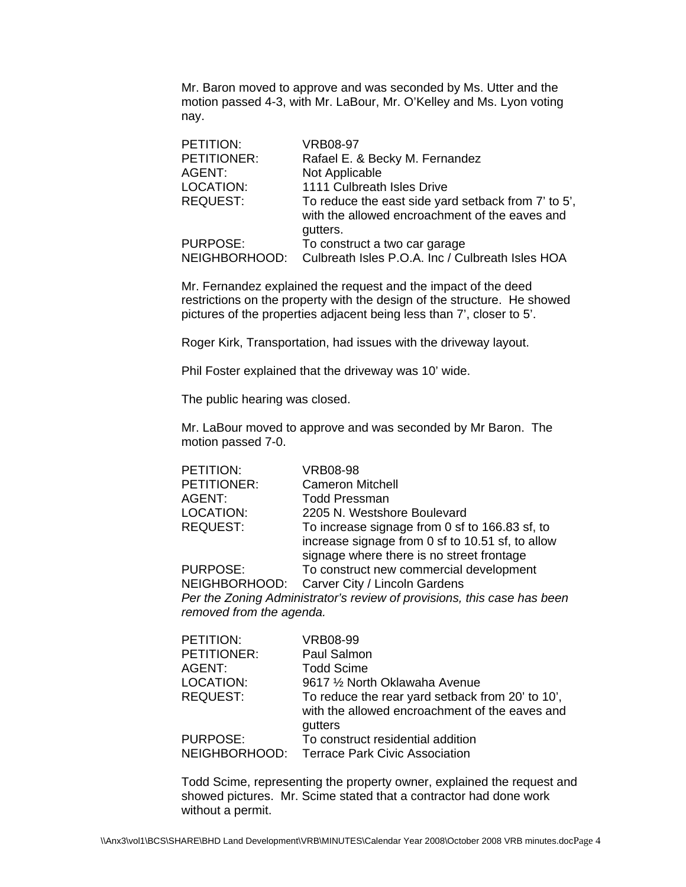Mr. Baron moved to approve and was seconded by Ms. Utter and the motion passed 4-3, with Mr. LaBour, Mr. O'Kelley and Ms. Lyon voting nay.

| PETITION:       | <b>VRB08-97</b>                                     |
|-----------------|-----------------------------------------------------|
| PETITIONER:     | Rafael E. & Becky M. Fernandez                      |
| AGENT:          | Not Applicable                                      |
| LOCATION:       | 1111 Culbreath Isles Drive                          |
| <b>REQUEST:</b> | To reduce the east side yard setback from 7' to 5', |
|                 | with the allowed encroachment of the eaves and      |
|                 | gutters.                                            |
| <b>PURPOSE:</b> | To construct a two car garage                       |
| NEIGHBORHOOD:   | Culbreath Isles P.O.A. Inc / Culbreath Isles HOA    |

Mr. Fernandez explained the request and the impact of the deed restrictions on the property with the design of the structure. He showed pictures of the properties adjacent being less than 7', closer to 5'.

Roger Kirk, Transportation, had issues with the driveway layout.

Phil Foster explained that the driveway was 10' wide.

The public hearing was closed.

Mr. LaBour moved to approve and was seconded by Mr Baron. The motion passed 7-0.

| PETITION:       | <b>VRB08-98</b>                                  |
|-----------------|--------------------------------------------------|
| PETITIONER:     | <b>Cameron Mitchell</b>                          |
| AGENT:          | <b>Todd Pressman</b>                             |
| LOCATION:       | 2205 N. Westshore Boulevard                      |
| <b>REQUEST:</b> | To increase signage from 0 sf to 166.83 sf, to   |
|                 | increase signage from 0 sf to 10.51 sf, to allow |
|                 | signage where there is no street frontage        |
| <b>PURPOSE:</b> | To construct new commercial development          |
| NEIGHBORHOOD:   | Carver City / Lincoln Gardens                    |

*Per the Zoning Administrator's review of provisions, this case has been removed from the agenda.* 

| PETITION:       | VRB08-99                                                                                           |
|-----------------|----------------------------------------------------------------------------------------------------|
| PETITIONER:     | Paul Salmon                                                                                        |
| AGENT:          | <b>Todd Scime</b>                                                                                  |
| LOCATION:       | 9617 1/2 North Oklawaha Avenue                                                                     |
| <b>REQUEST:</b> | To reduce the rear yard setback from 20' to 10',<br>with the allowed encroachment of the eaves and |
|                 | gutters                                                                                            |
| <b>PURPOSE:</b> | To construct residential addition                                                                  |
| NEIGHBORHOOD:   | Terrace Park Civic Association                                                                     |

Todd Scime, representing the property owner, explained the request and showed pictures. Mr. Scime stated that a contractor had done work without a permit.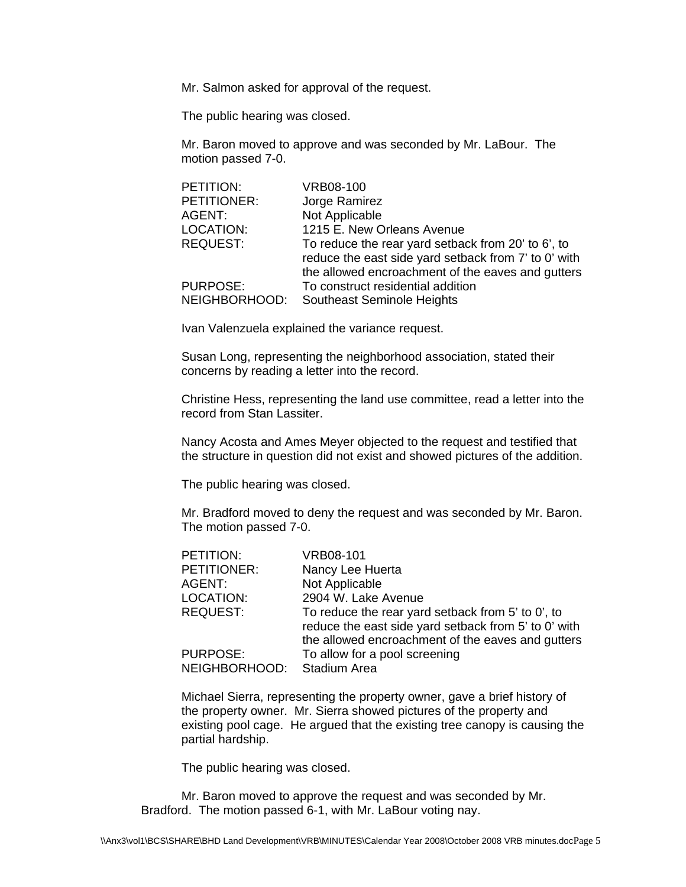Mr. Salmon asked for approval of the request.

The public hearing was closed.

Mr. Baron moved to approve and was seconded by Mr. LaBour. The motion passed 7-0.

| PETITION:       | <b>VRB08-100</b>                                     |
|-----------------|------------------------------------------------------|
| PETITIONER:     | Jorge Ramirez                                        |
| AGENT:          | Not Applicable                                       |
| LOCATION:       | 1215 E. New Orleans Avenue                           |
| <b>REQUEST:</b> | To reduce the rear yard setback from 20' to 6', to   |
|                 | reduce the east side yard setback from 7' to 0' with |
|                 | the allowed encroachment of the eaves and gutters    |
| <b>PURPOSE:</b> | To construct residential addition                    |
| NEIGHBORHOOD:   | Southeast Seminole Heights                           |

Ivan Valenzuela explained the variance request.

Susan Long, representing the neighborhood association, stated their concerns by reading a letter into the record.

Christine Hess, representing the land use committee, read a letter into the record from Stan Lassiter.

Nancy Acosta and Ames Meyer objected to the request and testified that the structure in question did not exist and showed pictures of the addition.

The public hearing was closed.

Mr. Bradford moved to deny the request and was seconded by Mr. Baron. The motion passed 7-0.

| PETITION:       | <b>VRB08-101</b>                                     |
|-----------------|------------------------------------------------------|
| PETITIONER:     | Nancy Lee Huerta                                     |
| AGENT:          | Not Applicable                                       |
| LOCATION:       | 2904 W. Lake Avenue                                  |
| <b>REQUEST:</b> | To reduce the rear yard setback from 5' to 0', to    |
|                 | reduce the east side yard setback from 5' to 0' with |
|                 | the allowed encroachment of the eaves and gutters    |
| <b>PURPOSE:</b> | To allow for a pool screening                        |
| NEIGHBORHOOD:   | <b>Stadium Area</b>                                  |

Michael Sierra, representing the property owner, gave a brief history of the property owner. Mr. Sierra showed pictures of the property and existing pool cage. He argued that the existing tree canopy is causing the partial hardship.

The public hearing was closed.

Mr. Baron moved to approve the request and was seconded by Mr. Bradford. The motion passed 6-1, with Mr. LaBour voting nay.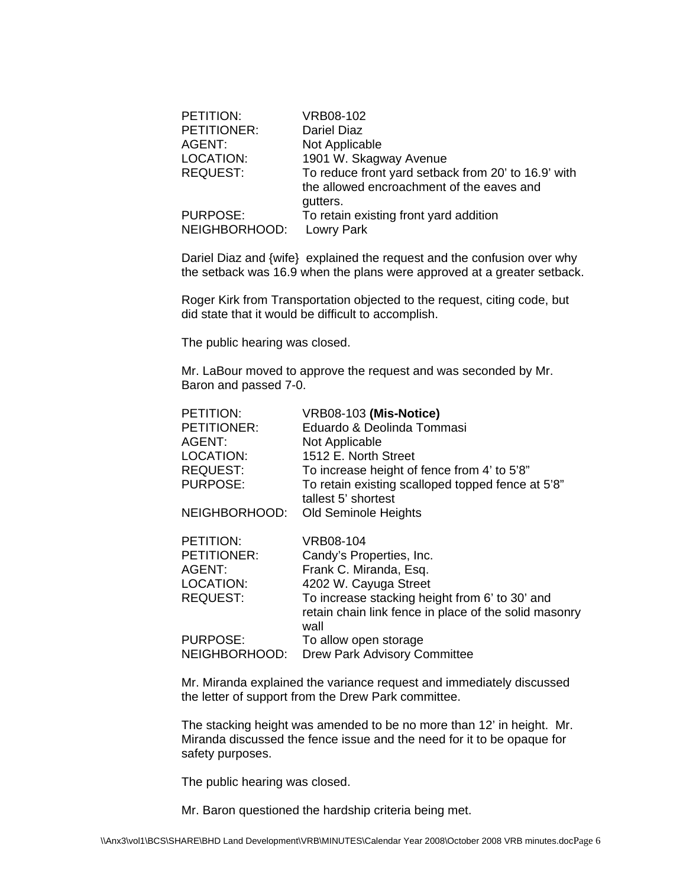| PETITION:                        | VRB08-102                                                                                                    |
|----------------------------------|--------------------------------------------------------------------------------------------------------------|
| PETITIONER:                      | <b>Dariel Diaz</b>                                                                                           |
| AGENT:                           | Not Applicable                                                                                               |
| LOCATION:                        | 1901 W. Skagway Avenue                                                                                       |
| <b>REQUEST:</b>                  | To reduce front yard setback from 20' to 16.9' with<br>the allowed encroachment of the eaves and<br>gutters. |
| <b>PURPOSE:</b><br>NEIGHBORHOOD: | To retain existing front yard addition<br>Lowry Park                                                         |

Dariel Diaz and {wife} explained the request and the confusion over why the setback was 16.9 when the plans were approved at a greater setback.

Roger Kirk from Transportation objected to the request, citing code, but did state that it would be difficult to accomplish.

The public hearing was closed.

Mr. LaBour moved to approve the request and was seconded by Mr. Baron and passed 7-0.

| PETITION:       | VRB08-103 (Mis-Notice)                                        |
|-----------------|---------------------------------------------------------------|
| PETITIONER:     | Eduardo & Deolinda Tommasi                                    |
| AGENT:          | Not Applicable                                                |
| LOCATION:       | 1512 E. North Street                                          |
| <b>REQUEST:</b> | To increase height of fence from 4' to 5'8"                   |
| <b>PURPOSE:</b> | To retain existing scalloped topped fence at 5'8"             |
|                 | tallest 5' shortest                                           |
| NEIGHBORHOOD:   | <b>Old Seminole Heights</b>                                   |
| PETITION:       | <b>VRB08-104</b>                                              |
| PETITIONER:     | Candy's Properties, Inc.                                      |
| AGENT:          | Frank C. Miranda, Esq.                                        |
| LOCATION:       | 4202 W. Cayuga Street                                         |
| <b>REQUEST:</b> | To increase stacking height from 6' to 30' and                |
|                 | retain chain link fence in place of the solid masonry<br>wall |
| <b>PURPOSE:</b> | To allow open storage                                         |
| NEIGHBORHOOD:   | <b>Drew Park Advisory Committee</b>                           |

Mr. Miranda explained the variance request and immediately discussed the letter of support from the Drew Park committee.

The stacking height was amended to be no more than 12' in height. Mr. Miranda discussed the fence issue and the need for it to be opaque for safety purposes.

The public hearing was closed.

Mr. Baron questioned the hardship criteria being met.